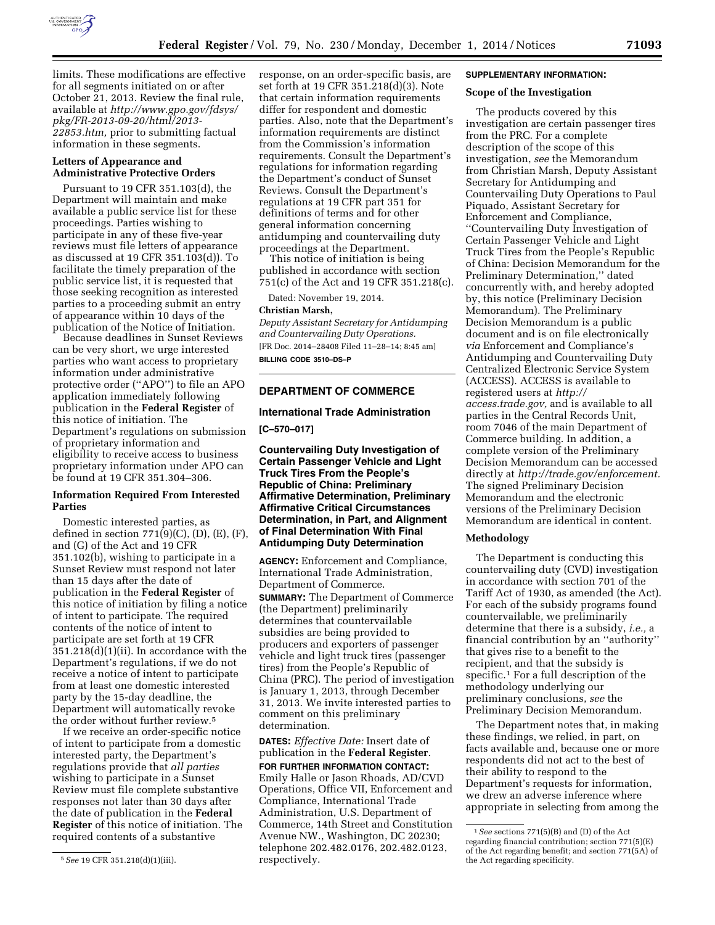

limits. These modifications are effective for all segments initiated on or after October 21, 2013. Review the final rule, available at *[http://www.gpo.gov/fdsys/](http://www.gpo.gov/fdsys/pkg/FR-2013-09-20/html/2013-22853.htm) [pkg/FR-2013-09-20/html/2013-](http://www.gpo.gov/fdsys/pkg/FR-2013-09-20/html/2013-22853.htm) [22853.htm,](http://www.gpo.gov/fdsys/pkg/FR-2013-09-20/html/2013-22853.htm)* prior to submitting factual information in these segments.

#### **Letters of Appearance and Administrative Protective Orders**

Pursuant to 19 CFR 351.103(d), the Department will maintain and make available a public service list for these proceedings. Parties wishing to participate in any of these five-year reviews must file letters of appearance as discussed at 19 CFR 351.103(d)). To facilitate the timely preparation of the public service list, it is requested that those seeking recognition as interested parties to a proceeding submit an entry of appearance within 10 days of the publication of the Notice of Initiation.

Because deadlines in Sunset Reviews can be very short, we urge interested parties who want access to proprietary information under administrative protective order (''APO'') to file an APO application immediately following publication in the **Federal Register** of this notice of initiation. The Department's regulations on submission of proprietary information and eligibility to receive access to business proprietary information under APO can be found at 19 CFR 351.304–306.

# **Information Required From Interested Parties**

Domestic interested parties, as defined in section  $771(9)(C)$ ,  $(D)$ ,  $(E)$ ,  $(F)$ , and (G) of the Act and 19 CFR 351.102(b), wishing to participate in a Sunset Review must respond not later than 15 days after the date of publication in the **Federal Register** of this notice of initiation by filing a notice of intent to participate. The required contents of the notice of intent to participate are set forth at 19 CFR 351.218(d)(1)(ii). In accordance with the Department's regulations, if we do not receive a notice of intent to participate from at least one domestic interested party by the 15-day deadline, the Department will automatically revoke the order without further review.5

If we receive an order-specific notice of intent to participate from a domestic interested party, the Department's regulations provide that *all parties*  wishing to participate in a Sunset Review must file complete substantive responses not later than 30 days after the date of publication in the **Federal Register** of this notice of initiation. The required contents of a substantive

response, on an order-specific basis, are set forth at 19 CFR 351.218(d)(3). Note that certain information requirements differ for respondent and domestic parties. Also, note that the Department's information requirements are distinct from the Commission's information requirements. Consult the Department's regulations for information regarding the Department's conduct of Sunset Reviews. Consult the Department's regulations at 19 CFR part 351 for definitions of terms and for other general information concerning antidumping and countervailing duty proceedings at the Department.

This notice of initiation is being published in accordance with section 751(c) of the Act and 19 CFR 351.218(c).

Dated: November 19, 2014.

#### **Christian Marsh,**

*Deputy Assistant Secretary for Antidumping and Countervailing Duty Operations.*  [FR Doc. 2014–28408 Filed 11–28–14; 8:45 am] **BILLING CODE 3510–DS–P** 

# **DEPARTMENT OF COMMERCE**

#### **International Trade Administration**

**[C–570–017]** 

**Countervailing Duty Investigation of Certain Passenger Vehicle and Light Truck Tires From the People's Republic of China: Preliminary Affirmative Determination, Preliminary Affirmative Critical Circumstances Determination, in Part, and Alignment of Final Determination With Final Antidumping Duty Determination** 

**AGENCY:** Enforcement and Compliance, International Trade Administration, Department of Commerce. **SUMMARY:** The Department of Commerce (the Department) preliminarily determines that countervailable subsidies are being provided to producers and exporters of passenger vehicle and light truck tires (passenger tires) from the People's Republic of China (PRC). The period of investigation is January 1, 2013, through December 31, 2013. We invite interested parties to comment on this preliminary determination.

**DATES:** *Effective Date:* Insert date of publication in the **Federal Register**. **FOR FURTHER INFORMATION CONTACT:**  Emily Halle or Jason Rhoads, AD/CVD Operations, Office VII, Enforcement and Compliance, International Trade Administration, U.S. Department of Commerce, 14th Street and Constitution Avenue NW., Washington, DC 20230; telephone 202.482.0176, 202.482.0123, respectively.

#### **SUPPLEMENTARY INFORMATION:**

## **Scope of the Investigation**

The products covered by this investigation are certain passenger tires from the PRC. For a complete description of the scope of this investigation, *see* the Memorandum from Christian Marsh, Deputy Assistant Secretary for Antidumping and Countervailing Duty Operations to Paul Piquado, Assistant Secretary for Enforcement and Compliance, ''Countervailing Duty Investigation of Certain Passenger Vehicle and Light Truck Tires from the People's Republic of China: Decision Memorandum for the Preliminary Determination,'' dated concurrently with, and hereby adopted by, this notice (Preliminary Decision Memorandum). The Preliminary Decision Memorandum is a public document and is on file electronically *via* Enforcement and Compliance's Antidumping and Countervailing Duty Centralized Electronic Service System (ACCESS). ACCESS is available to registered users at *[http://](http://access.trade.gov) [access.trade.gov,](http://access.trade.gov)* and is available to all parties in the Central Records Unit, room 7046 of the main Department of Commerce building. In addition, a complete version of the Preliminary Decision Memorandum can be accessed directly at *[http://trade.gov/enforcement.](http://trade.gov/enforcement)*  The signed Preliminary Decision Memorandum and the electronic versions of the Preliminary Decision Memorandum are identical in content.

### **Methodology**

The Department is conducting this countervailing duty (CVD) investigation in accordance with section 701 of the Tariff Act of 1930, as amended (the Act). For each of the subsidy programs found countervailable, we preliminarily determine that there is a subsidy, *i.e.,* a financial contribution by an ''authority'' that gives rise to a benefit to the recipient, and that the subsidy is specific.<sup>1</sup> For a full description of the methodology underlying our preliminary conclusions, *see* the Preliminary Decision Memorandum.

The Department notes that, in making these findings, we relied, in part, on facts available and, because one or more respondents did not act to the best of their ability to respond to the Department's requests for information, we drew an adverse inference where appropriate in selecting from among the

<sup>5</sup>*See* 19 CFR 351.218(d)(1)(iii).

<sup>1</sup>*See* sections 771(5)(B) and (D) of the Act regarding financial contribution; section 771(5)(E) of the Act regarding benefit; and section 771(5A) of the Act regarding specificity.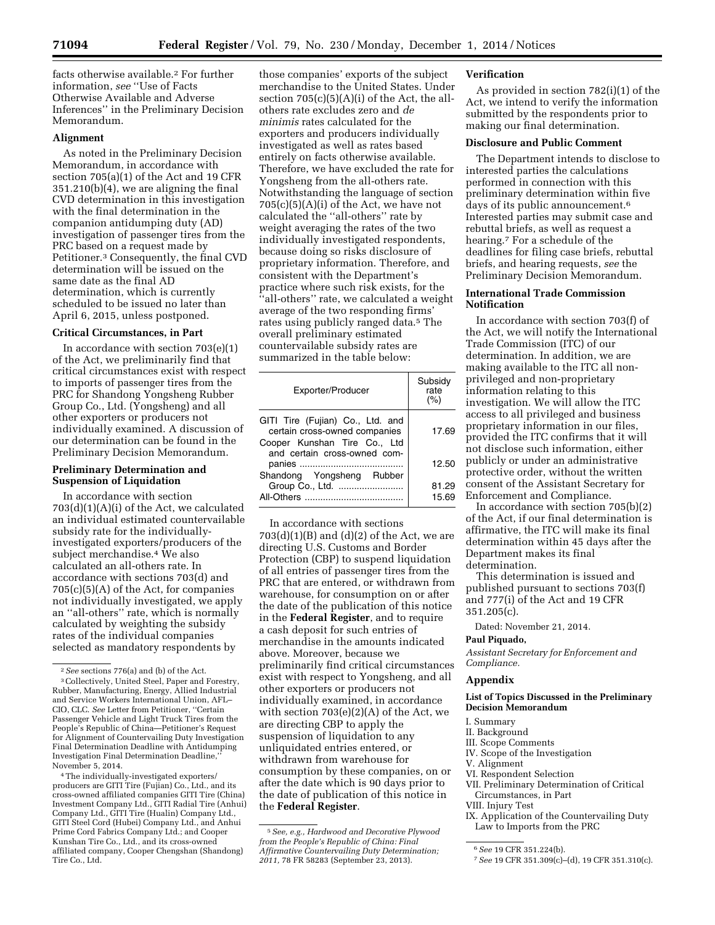facts otherwise available.2 For further information, *see* ''Use of Facts Otherwise Available and Adverse Inferences'' in the Preliminary Decision Memorandum.

#### **Alignment**

As noted in the Preliminary Decision Memorandum, in accordance with section 705(a)(1) of the Act and 19 CFR 351.210(b)(4), we are aligning the final CVD determination in this investigation with the final determination in the companion antidumping duty (AD) investigation of passenger tires from the PRC based on a request made by Petitioner.3 Consequently, the final CVD determination will be issued on the same date as the final AD determination, which is currently scheduled to be issued no later than April 6, 2015, unless postponed.

#### **Critical Circumstances, in Part**

In accordance with section  $703(e)(1)$ of the Act, we preliminarily find that critical circumstances exist with respect to imports of passenger tires from the PRC for Shandong Yongsheng Rubber Group Co., Ltd. (Yongsheng) and all other exporters or producers not individually examined. A discussion of our determination can be found in the Preliminary Decision Memorandum.

## **Preliminary Determination and Suspension of Liquidation**

In accordance with section 703(d)(1)(A)(i) of the Act, we calculated an individual estimated countervailable subsidy rate for the individuallyinvestigated exporters/producers of the subject merchandise.4 We also calculated an all-others rate. In accordance with sections 703(d) and  $705(c)(5)(A)$  of the Act, for companies not individually investigated, we apply an ''all-others'' rate, which is normally calculated by weighting the subsidy rates of the individual companies selected as mandatory respondents by

4The individually-investigated exporters/ producers are GITI Tire (Fujian) Co., Ltd., and its cross-owned affiliated companies GITI Tire (China) Investment Company Ltd., GITI Radial Tire (Anhui) Company Ltd., GITI Tire (Hualin) Company Ltd., GITI Steel Cord (Hubei) Company Ltd., and Anhui Prime Cord Fabrics Company Ltd.; and Cooper Kunshan Tire Co., Ltd., and its cross-owned affiliated company, Cooper Chengshan (Shandong) Tire Co., Ltd.

those companies' exports of the subject merchandise to the United States. Under section  $705(c)(5)(A)(i)$  of the Act, the allothers rate excludes zero and *de minimis* rates calculated for the exporters and producers individually investigated as well as rates based entirely on facts otherwise available. Therefore, we have excluded the rate for Yongsheng from the all-others rate. Notwithstanding the language of section  $705(c)(5)(A)(i)$  of the Act, we have not calculated the ''all-others'' rate by weight averaging the rates of the two individually investigated respondents, because doing so risks disclosure of proprietary information. Therefore, and consistent with the Department's practice where such risk exists, for the ''all-others'' rate, we calculated a weight average of the two responding firms' rates using publicly ranged data.5 The overall preliminary estimated countervailable subsidy rates are summarized in the table below:

| Exporter/Producer                                                                                                                 | Subsidy<br>rate<br>(%) |
|-----------------------------------------------------------------------------------------------------------------------------------|------------------------|
| GITI Tire (Fujian) Co., Ltd. and<br>certain cross-owned companies<br>Cooper Kunshan Tire Co., Ltd<br>and certain cross-owned com- | 17.69                  |
| Shandong Yongsheng Rubber                                                                                                         | 12.50                  |
| All-Others                                                                                                                        | 81.29<br>15.69         |

In accordance with sections  $703(d)(1)(B)$  and  $(d)(2)$  of the Act, we are directing U.S. Customs and Border Protection (CBP) to suspend liquidation of all entries of passenger tires from the PRC that are entered, or withdrawn from warehouse, for consumption on or after the date of the publication of this notice in the **Federal Register**, and to require a cash deposit for such entries of merchandise in the amounts indicated above. Moreover, because we preliminarily find critical circumstances exist with respect to Yongsheng, and all other exporters or producers not individually examined, in accordance with section 703(e)(2)(A) of the Act, we are directing CBP to apply the suspension of liquidation to any unliquidated entries entered, or withdrawn from warehouse for consumption by these companies, on or after the date which is 90 days prior to the date of publication of this notice in the **Federal Register**.

### **Verification**

As provided in section 782(i)(1) of the Act, we intend to verify the information submitted by the respondents prior to making our final determination.

# **Disclosure and Public Comment**

The Department intends to disclose to interested parties the calculations performed in connection with this preliminary determination within five days of its public announcement.6 Interested parties may submit case and rebuttal briefs, as well as request a hearing.7 For a schedule of the deadlines for filing case briefs, rebuttal briefs, and hearing requests, *see* the Preliminary Decision Memorandum.

# **International Trade Commission Notification**

In accordance with section 703(f) of the Act, we will notify the International Trade Commission (ITC) of our determination. In addition, we are making available to the ITC all nonprivileged and non-proprietary information relating to this investigation. We will allow the ITC access to all privileged and business proprietary information in our files, provided the ITC confirms that it will not disclose such information, either publicly or under an administrative protective order, without the written consent of the Assistant Secretary for Enforcement and Compliance.

In accordance with section 705(b)(2) of the Act, if our final determination is affirmative, the ITC will make its final determination within 45 days after the Department makes its final determination.

This determination is issued and published pursuant to sections 703(f) and 777(i) of the Act and 19 CFR 351.205(c).

Dated: November 21, 2014.

### **Paul Piquado,**

*Assistant Secretary for Enforcement and Compliance.* 

#### **Appendix**

#### **List of Topics Discussed in the Preliminary Decision Memorandum**

I. Summary

- II. Background
- III. Scope Comments
- IV. Scope of the Investigation
- V. Alignment
- VI. Respondent Selection
- VII. Preliminary Determination of Critical Circumstances, in Part
- VIII. Injury Test
- IX. Application of the Countervailing Duty Law to Imports from the PRC

<sup>2</sup>*See* sections 776(a) and (b) of the Act.

<sup>3</sup>Collectively, United Steel, Paper and Forestry, Rubber, Manufacturing, Energy, Allied Industrial and Service Workers International Union, AFL– CIO, CLC. *See* Letter from Petitioner, ''Certain Passenger Vehicle and Light Truck Tires from the People's Republic of China—Petitioner's Request for Alignment of Countervailing Duty Investigation Final Determination Deadline with Antidumping Investigation Final Determination Deadline,'' November 5, 2014.

<sup>5</sup>*See, e.g., Hardwood and Decorative Plywood from the People's Republic of China: Final Affirmative Countervailing Duty Determination; 2011,* 78 FR 58283 (September 23, 2013).

<sup>6</sup>*See* 19 CFR 351.224(b).

<sup>7</sup>*See* 19 CFR 351.309(c)–(d), 19 CFR 351.310(c).